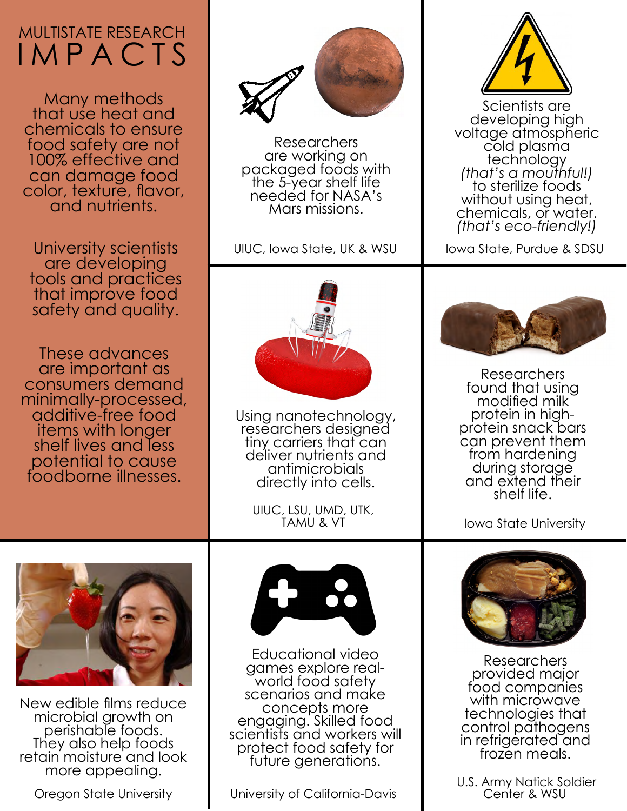## MULTISTATE RESEARCH IMPACTS

Many methods that use heat and chemicals to ensure food safety are not 100% effective and can damage food color, texture, flavor, and nutrients.

University scientists are developing tools and practices that improve food safety and quality.

These advances are important as consumers demand minimally-processed, additive-free food items with longer shelf lives and less potential to cause foodborne illnesses.



Researchers<br>are working on packaged foods with the 5-year shelf life needed for NASA's Mars missions.

UIUC, Iowa State, UK & WSU



Using nanotechnology, researchers designed tiny carriers that can deliver nutrients and antimicrobials directly into cells.

UIUC, LSU, UMD, UTK, TAMU & VT



Scientists are<br>developing high voltage atmospheric<br>cold plasma<br>technology technology *(that's a mouthful!)* to sterilize foods without using heat, chemicals, or water. *(that's eco-friendly!)*

Iowa State, Purdue & SDSU



Researchers found that using modified milk protein in highprotein snack bars can prevent them from hardening during storage and extend their shelf life.

Iowa State University



New edible films reduce microbial growth on perishable foods.<br>They also help foods retain moisture and look more appealing.



Educational video games explore realworld food safety scenarios and make<br>concepts more engaging. Skilled food scientists and workers will protect food safety for future generations.

Oregon State University **University Oregon State University Contract California-Davis** 



Researchers provided major food companies with microwave technologies that control pathogens in refrigerated and frozen meals.

U.S. Army Natick Soldier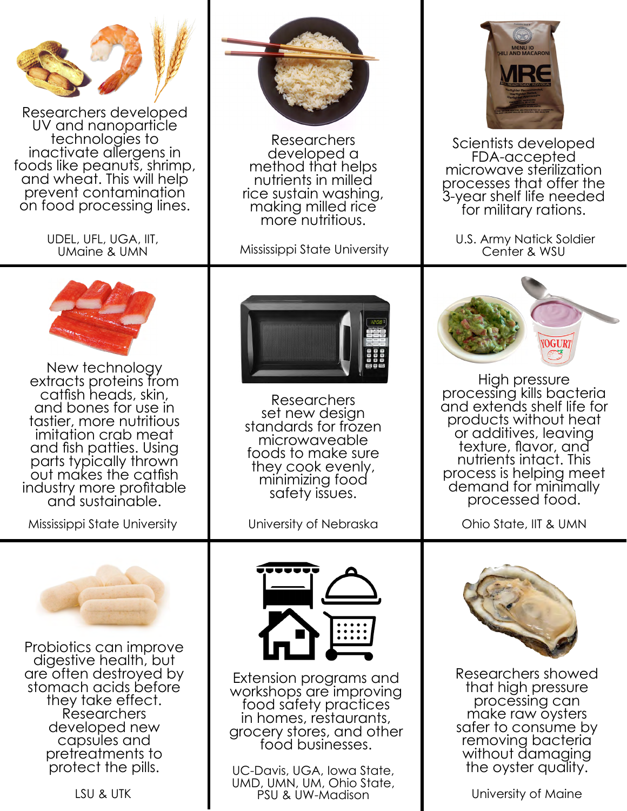

Researchers developed<br>UV and nanoparticle technologies to<br>inactivate allergens in<br>foods like peanuts, shrimp, and wheat. This will help prevent contamination on food processing lines.

> UDEL, UFL, UGA, IIT, UMaine & UMN



Researchers method that helps nutrients in milled rice sustain washing, making milled rice more nutritious.



Scientists developed FDA-accepted microwave sterilization processes that offer the 3-year shelf life needed<br>for military rations.

U.S. Army Natick Soldier Mississippi State University Center & WSU



New technology extracts proteins from catfish heads, skin, and bones for use in tastier, more nutritious imitation crab meat and fish patties. Using parts typically thrown out makes the catfish industry more profitable and sustainable.

Mississippi State University **IVALLET State University Of Nebraska** 



Researchers<br>set new design standards for frozen microwaveable foods to make sure they cook evenly, minimizing food safety issues.



High pressure processing kills bacteria and extends shelf life for products without heat or additives, leaving texture, flavor, and nutrients intact. This process is helping meet demand for minimally processed food.

Ohio State, IIT & UMN



Probiotics can improve digestive health, but are often destroyed by stomach acids before they take effect. Researchers developed new capsules and pretreatments to protect the pills.





Extension programs and workshops are improving food safety practices in homes, restaurants, grocery stores, and other food businesses.

UC-Davis, UGA, Iowa State, UMD, UMN, UM, Ohio State, LSU & UTK **PSU & UW-Madison** PSU & UW-Madison PSU & UNIVERSITY Of Maine



Researchers showed that high pressure processing can make raw oysters safer to consume by removing bacteria without damaging the oyster quality.